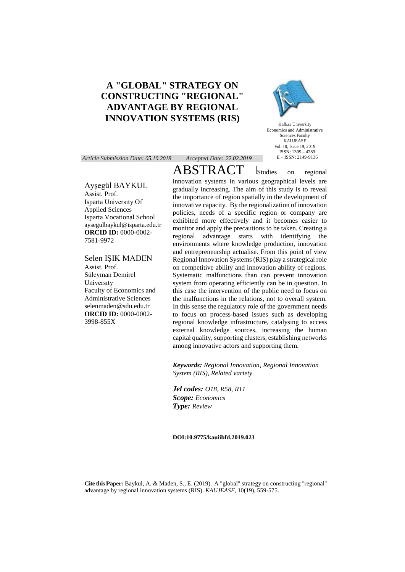# **A "GLOBAL" STRATEGY ON CONSTRUCTING "REGIONAL" ADVANTAGE BY REGIONAL INNOVATION SYSTEMS (RIS)**

*Article Submission Date: 05.10.2018 Accepted Date: 22.02.2019*

Ayşegül BAYKUL

Assist. Prof. Isparta Universıty Of Applied Sciences Isparta Vocational School aysegulbaykul@isparta.edu.tr **ORCID ID:** 0000-0002- 7581-9972

Selen IŞIK MADEN Assist. Prof. Süleyman Demirel Universıty Faculty of Economics and Administrative Sciences selenmaden@sdu.edu.tr **ORCID ID:** 0000-0002- 3998-855X

ABSTRACT Studies on regional innovation systems in various geographical levels are gradually increasing. The aim of this study is to reveal the importance of region spatially in the development of innovative capacity. By the regionalization of innovation policies, needs of a specific region or company are exhibited more effectively and it becomes easier to monitor and apply the precautions to be taken. Creating a regional advantage starts with identifying the environments where knowledge production, innovation and entrepreneurship actualise. From this point of view Regional Innovation Systems (RIS) play a strategical role on competitive ability and innovation ability of regions. Systematic malfunctions than can prevent innovation system from operating efficiently can be in question. In this case the intervention of the public need to focus on the malfunctions in the relations, not to overall system. In this sense the regulatory role of the government needs to focus on process-based issues such as developing regional knowledge infrastructure, catalysing to access external knowledge sources, increasing the human capital quality, supporting clusters, establishing networks among innovative actors and supporting them.

*Keywords: Regional Innovation, Regional Innovation System (RIS), Related variety*

*Jel codes: O18, R58, R11 Scope: Economics Type: Review*

#### **DOI:10.9775/kauiibfd.2019.023**

**Cite this Paper:** Baykul, A. & Maden, S., E. (2019). A "global" strategy on constructing "regional" advantage by regional innovation systems (RIS). *KAUJEASF,* 10(19), 559-575.



Kafkas Üniversity Economics and Administrative Sciences Faculty KAUJEASF Vol. 10, Issue 19, 2019  $ISSN: 1309 - 4289$ E – ISSN: 2149-9136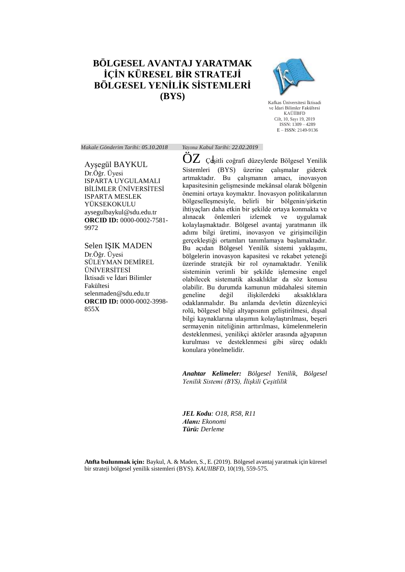# **BÖLGESEL AVANTAJ YARATMAK İÇİN KÜRESEL BİR STRATEJİ BÖLGESEL YENİLİK SİSTEMLERİ (BYS)**



Kafkas Üniversitesi İktisadi ve İdari Bilimler Fakültesi KAÜİİBFD Cilt, 10, Sayı 19, 2019 ISSN: 1309 – 4289 E – ISSN: 2149-9136

*Makale Gönderim Tarihi: 05.10.2018 Yayına Kabul Tarihi: 22.02.2019*

Ayşegül BAYKUL Dr.Öğr. Üyesi ISPARTA UYGULAMALI BİLİMLER ÜNİVERSİTESİ ISPARTA MESLEK YÜKSEKOKULU aysegulbaykul@sdu.edu.tr **ORCID ID:** 0000-0002-7581- 9972

Selen IŞIK MADEN Dr.Öğr. Üyesi SÜLEYMAN DEMİREL ÜNİVERSİTESİ İktisadi ve İdari Bilimler Fakültesi selenmaden@sdu.edu.tr **ORCID ID:** 0000-0002-3998- 855X

 $OZ$  Çeşitli coğrafi düzeylerde Bölgesel Yenilik Sistemleri (BYS) üzerine çalışmalar giderek artmaktadır. Bu çalışmanın amacı, inovasyon kapasitesinin gelişmesinde mekânsal olarak bölgenin önemini ortaya koymaktır. İnovasyon politikalarının bölgeselleşmesiyle, belirli bir bölgenin/şirketin ihtiyaçları daha etkin bir şekilde ortaya konmakta ve alınacak önlemleri izlemek ve uygulamak kolaylaşmaktadır. Bölgesel avantaj yaratmanın ilk adımı bilgi üretimi, inovasyon ve girişimciliğin gerçekleştiği ortamları tanımlamaya başlamaktadır. Bu açıdan Bölgesel Yenilik sistemi yaklaşımı, bölgelerin inovasyon kapasitesi ve rekabet yeteneği üzerinde stratejik bir rol oynamaktadır. Yenilik sisteminin verimli bir şekilde işlemesine engel olabilecek sistematik aksaklıklar da söz konusu olabilir. Bu durumda kamunun müdahalesi sitemin geneline değil ilişkilerdeki aksaklıklara odaklanmalıdır. Bu anlamda devletin düzenleyici rolü, bölgesel bilgi altyapısının geliştirilmesi, dışsal bilgi kaynaklarına ulaşımın kolaylaştırılması, beşeri sermayenin niteliğinin arttırılması, kümelenmelerin desteklenmesi, yenilikçi aktörler arasında ağyapının kurulması ve desteklenmesi gibi süreç odaklı konulara yönelmelidir.

*Anahtar Kelimeler: Bölgesel Yenilik, Bölgesel Yenilik Sistemi (BYS), İlişkili Çeşitlilik*

*JEL Kodu: O18, R58, R11 Alanı: Ekonomi Türü: Derleme*

**Atıfta bulunmak için:** Baykul, A. & Maden, S., E. (2019). Bölgesel avantaj yaratmak için küresel bir strateji bölgesel yenilik sistemleri (BYS). *KAUIIBFD,* 10(19), 559-575.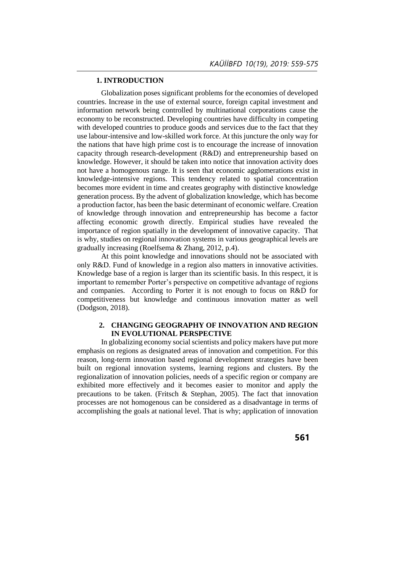# **1. INTRODUCTION**

Globalization poses significant problems for the economies of developed countries. Increase in the use of external source, foreign capital investment and information network being controlled by multinational corporations cause the economy to be reconstructed. Developing countries have difficulty in competing with developed countries to produce goods and services due to the fact that they use labour-intensive and low-skilled work force. At this juncture the only way for the nations that have high prime cost is to encourage the increase of innovation capacity through research-development (R&D) and entrepreneurship based on knowledge. However, it should be taken into notice that innovation activity does not have a homogenous range. It is seen that economic agglomerations exist in knowledge-intensive regions. This tendency related to spatial concentration becomes more evident in time and creates geography with distinctive knowledge generation process. By the advent of globalization knowledge, which has become a production factor, has been the basic determinant of economic welfare. Creation of knowledge through innovation and entrepreneurship has become a factor affecting economic growth directly. Empirical studies have revealed the importance of region spatially in the development of innovative capacity. That is why, studies on regional innovation systems in various geographical levels are gradually increasing (Roelfsema & Zhang, 2012, p.4).

At this point knowledge and innovations should not be associated with only R&D. Fund of knowledge in a region also matters in innovative activities. Knowledge base of a region is larger than its scientific basis. In this respect, it is important to remember Porter's perspective on competitive advantage of regions and companies. According to Porter it is not enough to focus on R&D for competitiveness but knowledge and continuous innovation matter as well (Dodgson, 2018).

# **2. CHANGING GEOGRAPHY OF INNOVATION AND REGION IN EVOLUTIONAL PERSPECTIVE**

In globalizing economy social scientists and policy makers have put more emphasis on regions as designated areas of innovation and competition. For this reason, long-term innovation based regional development strategies have been built on regional innovation systems, learning regions and clusters. By the regionalization of innovation policies, needs of a specific region or company are exhibited more effectively and it becomes easier to monitor and apply the precautions to be taken. (Fritsch & Stephan, 2005). The fact that innovation processes are not homogenous can be considered as a disadvantage in terms of accomplishing the goals at national level. That is why; application of innovation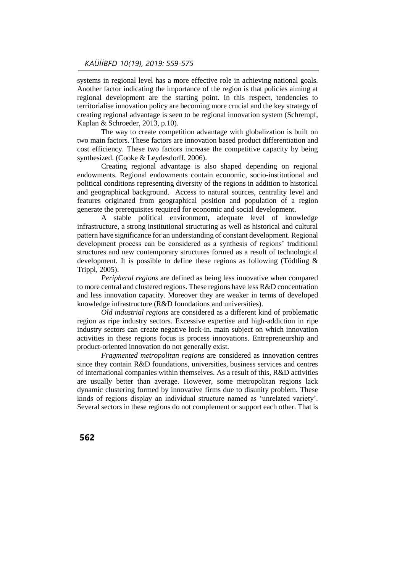systems in regional level has a more effective role in achieving national goals. Another factor indicating the importance of the region is that policies aiming at regional development are the starting point. In this respect, tendencies to territorialise innovation policy are becoming more crucial and the key strategy of creating regional advantage is seen to be regional innovation system (Schrempf, Kaplan & Schroeder, 2013, p.10).

The way to create competition advantage with globalization is built on two main factors. These factors are innovation based product differentiation and cost efficiency. These two factors increase the competitive capacity by being synthesized. (Cooke & Leydesdorff, 2006).

Creating regional advantage is also shaped depending on regional endowments. Regional endowments contain economic, socio-institutional and political conditions representing diversity of the regions in addition to historical and geographical background. Access to natural sources, centrality level and features originated from geographical position and population of a region generate the prerequisites required for economic and social development.

A stable political environment, adequate level of knowledge infrastructure, a strong institutional structuring as well as historical and cultural pattern have significance for an understanding of constant development. Regional development process can be considered as a synthesis of regions' traditional structures and new contemporary structures formed as a result of technological development. It is possible to define these regions as following (Tödtling & Trippl, 2005).

*Peripheral regions* are defined as being less innovative when compared to more central and clustered regions. These regions have less R&D concentration and less innovation capacity. Moreover they are weaker in terms of developed knowledge infrastructure (R&D foundations and universities).

*Old industrial regions* are considered as a different kind of problematic region as ripe industry sectors. Excessive expertise and high-addiction in ripe industry sectors can create negative lock-in. main subject on which innovation activities in these regions focus is process innovations. Entrepreneurship and product-oriented innovation do not generally exist.

*Fragmented metropolitan regions* are considered as innovation centres since they contain R&D foundations, universities, business services and centres of international companies within themselves. As a result of this, R&D activities are usually better than average. However, some metropolitan regions lack dynamic clustering formed by innovative firms due to disunity problem. These kinds of regions display an individual structure named as 'unrelated variety'. Several sectors in these regions do not complement or support each other. That is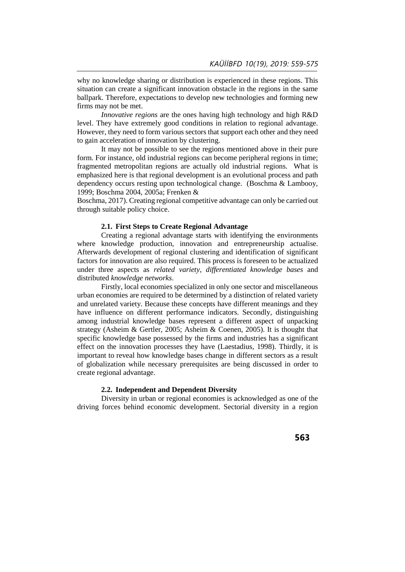why no knowledge sharing or distribution is experienced in these regions. This situation can create a significant innovation obstacle in the regions in the same ballpark. Therefore, expectations to develop new technologies and forming new firms may not be met.

*Innovative regions* are the ones having high technology and high R&D level. They have extremely good conditions in relation to regional advantage. However, they need to form various sectors that support each other and they need to gain acceleration of innovation by clustering.

It may not be possible to see the regions mentioned above in their pure form. For instance, old industrial regions can become peripheral regions in time; fragmented metropolitan regions are actually old industrial regions. What is emphasized here is that regional development is an evolutional process and path dependency occurs resting upon technological change. (Boschma & Lambooy, 1999; Boschma 2004, 2005a; Frenken &

Boschma, 2017). Creating regional competitive advantage can only be carried out through suitable policy choice.

#### **2.1. First Steps to Create Regional Advantage**

Creating a regional advantage starts with identifying the environments where knowledge production, innovation and entrepreneurship actualise. Afterwards development of regional clustering and identification of significant factors for innovation are also required. This process is foreseen to be actualized under three aspects as *related variety*, *differentiated knowledge bases* and distributed *knowledge networks*.

Firstly, local economies specialized in only one sector and miscellaneous urban economies are required to be determined by a distinction of related variety and unrelated variety. Because these concepts have different meanings and they have influence on different performance indicators. Secondly, distinguishing among industrial knowledge bases represent a different aspect of unpacking strategy (Asheim & Gertler, 2005; Asheim & Coenen, 2005). It is thought that specific knowledge base possessed by the firms and industries has a significant effect on the innovation processes they have (Laestadius, 1998). Thirdly, it is important to reveal how knowledge bases change in different sectors as a result of globalization while necessary prerequisites are being discussed in order to create regional advantage.

# **2.2. Independent and Dependent Diversity**

Diversity in urban or regional economies is acknowledged as one of the driving forces behind economic development. Sectorial diversity in a region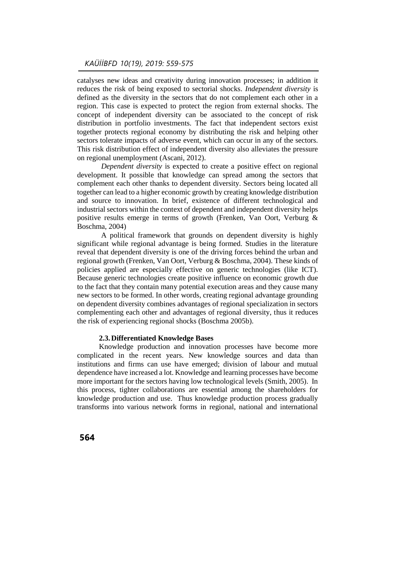catalyses new ideas and creativity during innovation processes; in addition it reduces the risk of being exposed to sectorial shocks. *Independent diversity* is defined as the diversity in the sectors that do not complement each other in a region. This case is expected to protect the region from external shocks. The concept of independent diversity can be associated to the concept of risk distribution in portfolio investments. The fact that independent sectors exist together protects regional economy by distributing the risk and helping other sectors tolerate impacts of adverse event, which can occur in any of the sectors. This risk distribution effect of independent diversity also alleviates the pressure on regional unemployment (Ascani, 2012).

*Dependent diversity* is expected to create a positive effect on regional development. It possible that knowledge can spread among the sectors that complement each other thanks to dependent diversity. Sectors being located all together can lead to a higher economic growth by creating knowledge distribution and source to innovation. In brief, existence of different technological and industrial sectors within the context of dependent and independent diversity helps positive results emerge in terms of growth (Frenken, Van Oort, Verburg & Boschma, 2004)

A political framework that grounds on dependent diversity is highly significant while regional advantage is being formed. Studies in the literature reveal that dependent diversity is one of the driving forces behind the urban and regional growth (Frenken, Van Oort, Verburg & Boschma, 2004). These kinds of policies applied are especially effective on generic technologies (like ICT). Because generic technologies create positive influence on economic growth due to the fact that they contain many potential execution areas and they cause many new sectors to be formed. In other words, creating regional advantage grounding on dependent diversity combines advantages of regional specialization in sectors complementing each other and advantages of regional diversity, thus it reduces the risk of experiencing regional shocks (Boschma 2005b).

# **2.3.Differentiated Knowledge Bases**

Knowledge production and innovation processes have become more complicated in the recent years. New knowledge sources and data than institutions and firms can use have emerged; division of labour and mutual dependence have increased a lot. Knowledge and learning processes have become more important for the sectors having low technological levels (Smith, 2005). In this process, tighter collaborations are essential among the shareholders for knowledge production and use. Thus knowledge production process gradually transforms into various network forms in regional, national and international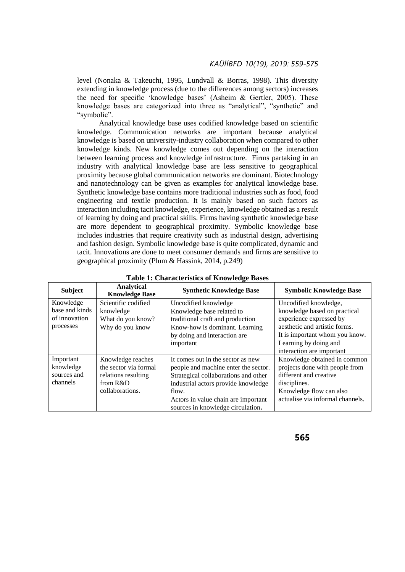level (Nonaka & Takeuchi, 1995, Lundvall & Borras, 1998). This diversity extending in knowledge process (due to the differences among sectors) increases the need for specific 'knowledge bases' (Asheim & Gertler, 2005). These knowledge bases are categorized into three as "analytical", "synthetic" and "symbolic".

Analytical knowledge base uses codified knowledge based on scientific knowledge. Communication networks are important because analytical knowledge is based on university-industry collaboration when compared to other knowledge kinds. New knowledge comes out depending on the interaction between learning process and knowledge infrastructure. Firms partaking in an industry with analytical knowledge base are less sensitive to geographical proximity because global communication networks are dominant. Biotechnology and nanotechnology can be given as examples for analytical knowledge base. Synthetic knowledge base contains more traditional industries such as food, food engineering and textile production. It is mainly based on such factors as interaction including tacit knowledge, experience, knowledge obtained as a result of learning by doing and practical skills. Firms having synthetic knowledge base are more dependent to geographical proximity. Symbolic knowledge base includes industries that require creativity such as industrial design, advertising and fashion design. Symbolic knowledge base is quite complicated, dynamic and tacit. Innovations are done to meet consumer demands and firms are sensitive to geographical proximity (Plum & Hassink, 2014, p.249)

| <b>Subject</b>                                            | Analytical<br><b>Knowledge Base</b>                                                              | <b>Synthetic Knowledge Base</b>                                                                                                                                                                                                               | <b>Symbolic Knowledge Base</b>                                                                                                                                                                            |
|-----------------------------------------------------------|--------------------------------------------------------------------------------------------------|-----------------------------------------------------------------------------------------------------------------------------------------------------------------------------------------------------------------------------------------------|-----------------------------------------------------------------------------------------------------------------------------------------------------------------------------------------------------------|
| Knowledge<br>base and kinds<br>of innovation<br>processes | Scientific codified<br>knowledge<br>What do you know?<br>Why do you know                         | Uncodified knowledge<br>Knowledge base related to<br>traditional craft and production<br>Know-how is dominant. Learning<br>by doing and interaction are<br>important                                                                          | Uncodified knowledge,<br>knowledge based on practical<br>experience expressed by<br>aesthetic and artistic forms.<br>It is important whom you know.<br>Learning by doing and<br>interaction are important |
| Important<br>knowledge<br>sources and<br>channels         | Knowledge reaches<br>the sector via formal<br>relations resulting<br>from R&D<br>collaborations. | It comes out in the sector as new<br>people and machine enter the sector.<br>Strategical collaborations and other<br>industrial actors provide knowledge<br>flow.<br>Actors in value chain are important<br>sources in knowledge circulation. | Knowledge obtained in common<br>projects done with people from<br>different and creative<br>disciplines.<br>Knowledge flow can also<br>actualise via informal channels.                                   |

**Table 1: Characteristics of Knowledge Bases**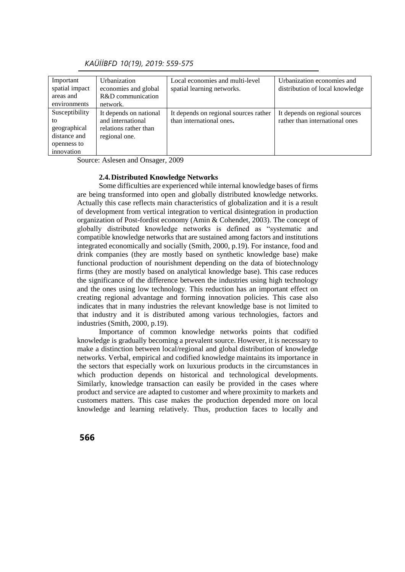| Important<br>spatial impact<br>areas and<br>environments                          | <b>Urbanization</b><br>economies and global<br>R&D communication<br>network.          | Local economies and multi-level<br>spatial learning networks.     | Urbanization economies and<br>distribution of local knowledge    |
|-----------------------------------------------------------------------------------|---------------------------------------------------------------------------------------|-------------------------------------------------------------------|------------------------------------------------------------------|
| Susceptibility<br>to<br>geographical<br>distance and<br>openness to<br>innovation | It depends on national<br>and international<br>relations rather than<br>regional one. | It depends on regional sources rather<br>than international ones. | It depends on regional sources<br>rather than international ones |

 *KAÜİİBFD 10(19), 2019: 559-575*

Source: Aslesen and Onsager, 2009

#### **2.4.Distributed Knowledge Networks**

Some difficulties are experienced while internal knowledge bases of firms are being transformed into open and globally distributed knowledge networks. Actually this case reflects main characteristics of globalization and it is a result of development from vertical integration to vertical disintegration in production organization of Post-fordist economy (Amin & Cohendet, 2003). The concept of globally distributed knowledge networks is defined as "systematic and compatible knowledge networks that are sustained among factors and institutions integrated economically and socially (Smith, 2000, p.19). For instance, food and drink companies (they are mostly based on synthetic knowledge base) make functional production of nourishment depending on the data of biotechnology firms (they are mostly based on analytical knowledge base). This case reduces the significance of the difference between the industries using high technology and the ones using low technology. This reduction has an important effect on creating regional advantage and forming innovation policies. This case also indicates that in many industries the relevant knowledge base is not limited to that industry and it is distributed among various technologies, factors and industries (Smith, 2000, p.19).

Importance of common knowledge networks points that codified knowledge is gradually becoming a prevalent source. However, it is necessary to make a distinction between local/regional and global distribution of knowledge networks. Verbal, empirical and codified knowledge maintains its importance in the sectors that especially work on luxurious products in the circumstances in which production depends on historical and technological developments. Similarly, knowledge transaction can easily be provided in the cases where product and service are adapted to customer and where proximity to markets and customers matters. This case makes the production depended more on local knowledge and learning relatively. Thus, production faces to locally and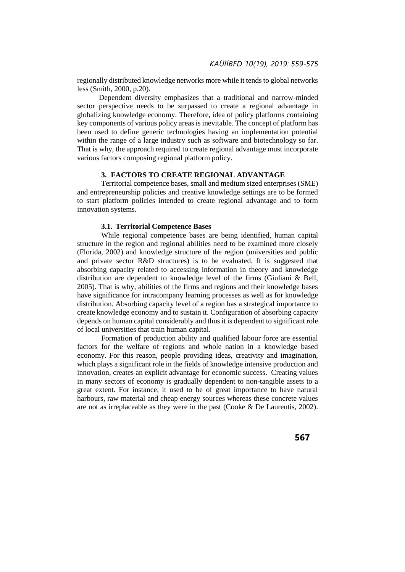regionally distributed knowledge networks more while it tends to global networks less (Smith, 2000, p.20).

Dependent diversity emphasizes that a traditional and narrow-minded sector perspective needs to be surpassed to create a regional advantage in globalizing knowledge economy. Therefore, idea of policy platforms containing key components of various policy areas is inevitable. The concept of platform has been used to define generic technologies having an implementation potential within the range of a large industry such as software and biotechnology so far. That is why, the approach required to create regional advantage must incorporate various factors composing regional platform policy.

### **3. FACTORS TO CREATE REGIONAL ADVANTAGE**

Territorial competence bases, small and medium sized enterprises (SME) and entrepreneurship policies and creative knowledge settings are to be formed to start platform policies intended to create regional advantage and to form innovation systems.

# **3.1. Territorial Competence Bases**

While regional competence bases are being identified, human capital structure in the region and regional abilities need to be examined more closely (Florida, 2002) and knowledge structure of the region (universities and public and private sector R&D structures) is to be evaluated. It is suggested that absorbing capacity related to accessing information in theory and knowledge distribution are dependent to knowledge level of the firms (Giuliani & Bell, 2005). That is why, abilities of the firms and regions and their knowledge bases have significance for intracompany learning processes as well as for knowledge distribution. Absorbing capacity level of a region has a strategical importance to create knowledge economy and to sustain it. Configuration of absorbing capacity depends on human capital considerably and thus it is dependent to significant role of local universities that train human capital.

Formation of production ability and qualified labour force are essential factors for the welfare of regions and whole nation in a knowledge based economy. For this reason, people providing ideas, creativity and imagination, which plays a significant role in the fields of knowledge intensive production and innovation, creates an explicit advantage for economic success. Creating values in many sectors of economy is gradually dependent to non-tangible assets to a great extent. For instance, it used to be of great importance to have natural harbours, raw material and cheap energy sources whereas these concrete values are not as irreplaceable as they were in the past (Cooke & De Laurentis, 2002).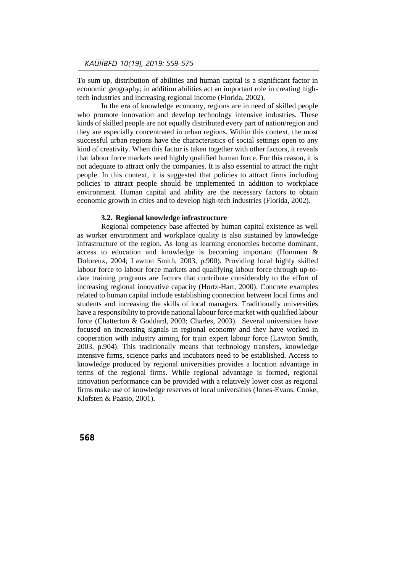To sum up, distribution of abilities and human capital is a significant factor in economic geography; in addition abilities act an important role in creating hightech industries and increasing regional income (Florida, 2002).

In the era of knowledge economy, regions are in need of skilled people who promote innovation and develop technology intensive industries. These kinds of skilled people are not equally distributed every part of nation/region and they are especially concentrated in urban regions. Within this context, the most successful urban regions have the characteristics of social settings open to any kind of creativity. When this factor is taken together with other factors, it reveals that labour force markets need highly qualified human force. For this reason, it is not adequate to attract only the companies. It is also essential to attract the right people. In this context, it is suggested that policies to attract firms including policies to attract people should be implemented in addition to workplace environment. Human capital and ability are the necessary factors to obtain economic growth in cities and to develop high-tech industries (Florida, 2002).

#### **3.2. Regional knowledge infrastructure**

Regional competency base affected by human capital existence as well as worker environment and workplace quality is also sustained by knowledge infrastructure of the region. As long as learning economies become dominant, access to education and knowledge is becoming important (Hommen & Doloreux, 2004; Lawton Smith, 2003, p.900). Providing local highly skilled labour force to labour force markets and qualifying labour force through up-todate training programs are factors that contribute considerably to the effort of increasing regional innovative capacity (Hortz-Hart, 2000). Concrete examples related to human capital include establishing connection between local firms and students and increasing the skills of local managers. Traditionally universities have a responsibility to provide national labour force market with qualified labour force (Chatterton & Goddard, 2003; Charles, 2003). Several universities have focused on increasing signals in regional economy and they have worked in cooperation with industry aiming for train expert labour force (Lawton Smith, 2003, p.904). This traditionally means that technology transfers, knowledge intensive firms, science parks and incubators need to be established. Access to knowledge produced by regional universities provides a location advantage in terms of the regional firms. While regional advantage is formed, regional innovation performance can be provided with a relatively lower cost as regional firms make use of knowledge reserves of local universities (Jones-Evans, Cooke, Klofsten & Paasio, 2001).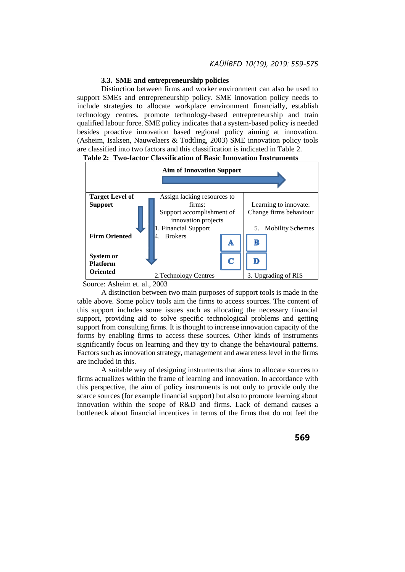# **3.3. SME and entrepreneurship policies**

Distinction between firms and worker environment can also be used to support SMEs and entrepreneurship policy. SME innovation policy needs to include strategies to allocate workplace environment financially, establish technology centres, promote technology-based entrepreneurship and train qualified labour force. SME policy indicates that a system-based policy is needed besides proactive innovation based regional policy aiming at innovation. (Asheim, Isaksen, Nauwelaers & Todtling, 2003) SME innovation policy tools are classified into two factors and this classification is indicated in Table 2.





Source: Asheim et. al., 2003

A distinction between two main purposes of support tools is made in the table above. Some policy tools aim the firms to access sources. The content of this support includes some issues such as allocating the necessary financial support, providing aid to solve specific technological problems and getting support from consulting firms. It is thought to increase innovation capacity of the forms by enabling firms to access these sources. Other kinds of instruments significantly focus on learning and they try to change the behavioural patterns. Factors such as innovation strategy, management and awareness level in the firms are included in this.

A suitable way of designing instruments that aims to allocate sources to firms actualizes within the frame of learning and innovation. In accordance with this perspective, the aim of policy instruments is not only to provide only the scarce sources (for example financial support) but also to promote learning about innovation within the scope of R&D and firms. Lack of demand causes a bottleneck about financial incentives in terms of the firms that do not feel the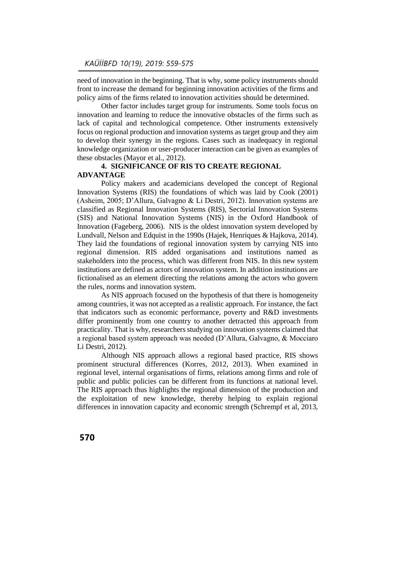need of innovation in the beginning. That is why, some policy instruments should front to increase the demand for beginning innovation activities of the firms and policy aims of the firms related to innovation activities should be determined.

Other factor includes target group for instruments. Some tools focus on innovation and learning to reduce the innovative obstacles of the firms such as lack of capital and technological competence. Other instruments extensively focus on regional production and innovation systems as target group and they aim to develop their synergy in the regions. Cases such as inadequacy in regional knowledge organization or user-producer interaction can be given as examples of these obstacles (Mayor et al., 2012).

# **4. SIGNIFICANCE OF RIS TO CREATE REGIONAL ADVANTAGE**

Policy makers and academicians developed the concept of Regional Innovation Systems (RIS) the foundations of which was laid by Cook (2001) (Asheim, 2005; D'Allura, Galvagno & Li Destri, 2012). Innovation systems are classified as Regional Innovation Systems (RIS), Sectorial Innovation Systems (SIS) and National Innovation Systems (NIS) in the Oxford Handbook of Innovation (Fageberg, 2006). NIS is the oldest innovation system developed by Lundvall, Nelson and Edquist in the 1990s (Hajek, Henriques & Hajkova, 2014). They laid the foundations of regional innovation system by carrying NIS into regional dimension. RIS added organisations and institutions named as stakeholders into the process, which was different from NIS. In this new system institutions are defined as actors of innovation system. In addition institutions are fictionalised as an element directing the relations among the actors who govern the rules, norms and innovation system.

As NIS approach focused on the hypothesis of that there is homogeneity among countries, it was not accepted as a realistic approach. For instance, the fact that indicators such as economic performance, poverty and R&D investments differ prominently from one country to another detracted this approach from practicality. That is why, researchers studying on innovation systems claimed that a regional based system approach was needed (D'Allura, Galvagno, & Mocciaro Li Destri, 2012).

Although NIS approach allows a regional based practice, RIS shows prominent structural differences (Korres, 2012, 2013). When examined in regional level, internal organisations of firms, relations among firms and role of public and public policies can be different from its functions at national level. The RIS approach thus highlights the regional dimension of the production and the exploitation of new knowledge, thereby helping to explain regional differences in innovation capacity and economic strength (Schrempf et al, 2013,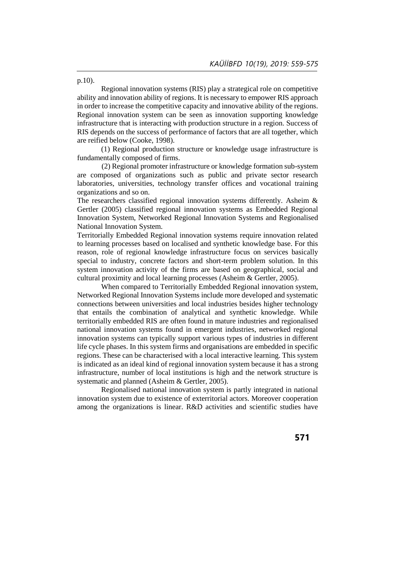p.10).

Regional innovation systems (RIS) play a strategical role on competitive ability and innovation ability of regions. It is necessary to empower RIS approach in order to increase the competitive capacity and innovative ability of the regions. Regional innovation system can be seen as innovation supporting knowledge infrastructure that is interacting with production structure in a region. Success of RIS depends on the success of performance of factors that are all together, which are reified below (Cooke, 1998).

(1) Regional production structure or knowledge usage infrastructure is fundamentally composed of firms.

(2) Regional promoter infrastructure or knowledge formation sub-system are composed of organizations such as public and private sector research laboratories, universities, technology transfer offices and vocational training organizations and so on.

The researchers classified regional innovation systems differently. Asheim & Gertler (2005) classified regional innovation systems as Embedded Regional Innovation System, Networked Regional Innovation Systems and Regionalised National Innovation System.

Territorially Embedded Regional innovation systems require innovation related to learning processes based on localised and synthetic knowledge base. For this reason, role of regional knowledge infrastructure focus on services basically special to industry, concrete factors and short-term problem solution. In this system innovation activity of the firms are based on geographical, social and cultural proximity and local learning processes (Asheim & Gertler, 2005).

When compared to Territorially Embedded Regional innovation system, Networked Regional Innovation Systems include more developed and systematic connections between universities and local industries besides higher technology that entails the combination of analytical and synthetic knowledge. While territorially embedded RIS are often found in mature industries and regionalised national innovation systems found in emergent industries, networked regional innovation systems can typically support various types of industries in different life cycle phases. In this system firms and organisations are embedded in specific regions. These can be characterised with a local interactive learning. This system is indicated as an ideal kind of regional innovation system because it has a strong infrastructure, number of local institutions is high and the network structure is systematic and planned (Asheim & Gertler, 2005).

Regionalised national innovation system is partly integrated in national innovation system due to existence of exterritorial actors. Moreover cooperation among the organizations is linear. R&D activities and scientific studies have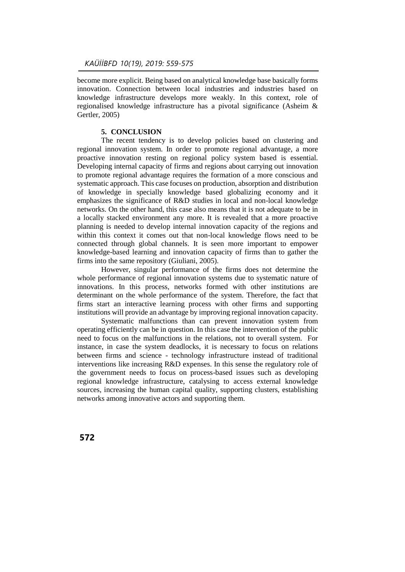become more explicit. Being based on analytical knowledge base basically forms innovation. Connection between local industries and industries based on knowledge infrastructure develops more weakly. In this context, role of regionalised knowledge infrastructure has a pivotal significance (Asheim & Gertler, 2005)

# **5. CONCLUSION**

The recent tendency is to develop policies based on clustering and regional innovation system. In order to promote regional advantage, a more proactive innovation resting on regional policy system based is essential. Developing internal capacity of firms and regions about carrying out innovation to promote regional advantage requires the formation of a more conscious and systematic approach. This case focuses on production, absorption and distribution of knowledge in specially knowledge based globalizing economy and it emphasizes the significance of R&D studies in local and non-local knowledge networks. On the other hand, this case also means that it is not adequate to be in a locally stacked environment any more. It is revealed that a more proactive planning is needed to develop internal innovation capacity of the regions and within this context it comes out that non-local knowledge flows need to be connected through global channels. It is seen more important to empower knowledge-based learning and innovation capacity of firms than to gather the firms into the same repository (Giuliani, 2005).

However, singular performance of the firms does not determine the whole performance of regional innovation systems due to systematic nature of innovations. In this process, networks formed with other institutions are determinant on the whole performance of the system. Therefore, the fact that firms start an interactive learning process with other firms and supporting institutions will provide an advantage by improving regional innovation capacity.

Systematic malfunctions than can prevent innovation system from operating efficiently can be in question. In this case the intervention of the public need to focus on the malfunctions in the relations, not to overall system. For instance, in case the system deadlocks, it is necessary to focus on relations between firms and science - technology infrastructure instead of traditional interventions like increasing R&D expenses. In this sense the regulatory role of the government needs to focus on process-based issues such as developing regional knowledge infrastructure, catalysing to access external knowledge sources, increasing the human capital quality, supporting clusters, establishing networks among innovative actors and supporting them.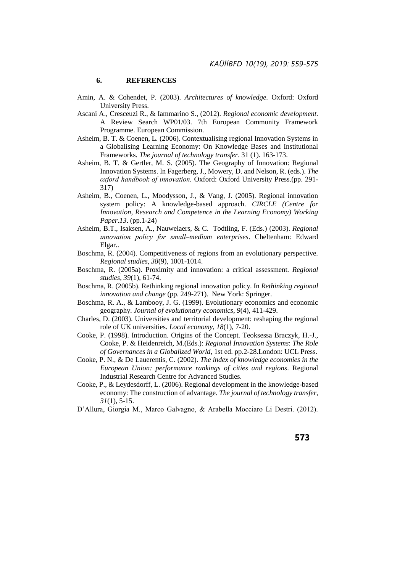# **6. REFERENCES**

- Amin, A. & Cohendet, P. (2003). *Architectures of knowledge*. Oxford: Oxford University Press.
- Ascani A., Cresceuzi R., & Iammarino S., (2012). *Regional economic development*. A Review Search WP01/03. 7th European Community Framework Programme. European Commission.
- Asheim, B. T. & Coenen, L. (2006). Contextualising regional Innovation Systems in a Globalising Learning Economy: On Knowledge Bases and Institutional Frameworks*. The journal of technology transfer*. 31 (1). 163-173.
- Asheim, B. T. & Gertler, M. S. (2005). The Geography of Innovation: Regional Innovation Systems. In Fagerberg, J., Mowery, D. and Nelson, R. (eds.). *The oxford handbook of ınnovation.* Oxford: Oxford University Press.(pp. 291- 317)
- Asheim, B., Coenen, L., Moodysson, J., & Vang, J. (2005). Regional innovation system policy: A knowledge-based approach. *CIRCLE (Centre for Innovation, Research and Competence in the Learning Economy) Working Paper*.*13*. (pp.1-24)
- Asheim, B.T., Isaksen, A., Nauwelaers, & C. Todtling, F. (Eds.) (2003). *Regional ınnovation policy for small–medium enterprises*. Cheltenham: Edward Elgar..
- Boschma, R. (2004). Competitiveness of regions from an evolutionary perspective. *Regional studies*, *38*(9), 1001-1014.
- Boschma, R. (2005a). Proximity and innovation: a critical assessment. *Regional studies*, *39*(1), 61-74.
- Boschma, R. (2005b). Rethinking regional innovation policy. In *Rethinking regional innovation and change* (pp. 249-271). New York: Springer.
- Boschma, R. A., & Lambooy, J. G. (1999). Evolutionary economics and economic geography. *Journal of evolutionary economics*, *9*(4), 411-429.
- Charles, D. (2003). Universities and territorial development: reshaping the regional role of UK universities. *Local economy*, *18*(1), 7-20.
- Cooke, P. (1998). Introduction. Origins of the Concept. Teoksessa Braczyk, H.-J., Cooke, P. & Heidenreich, M.(Eds.): *Regional Innovation Systems*: *The Role of Governances in a Globalized World*, 1st ed. pp.2-28.London: UCL Press.
- Cooke, P. N., & De Lauerentis, C. (2002). *The index of knowledge economies in the European Union: performance rankings of cities and regions*. Regional Industrial Research Centre for Advanced Studies.
- Cooke, P., & Leydesdorff, L. (2006). Regional development in the knowledge-based economy: The construction of advantage. *The journal of technology transfer*, *31*(1), 5-15.
- D'Allura, Giorgia M., Marco Galvagno, & Arabella Mocciaro Li Destri. (2012).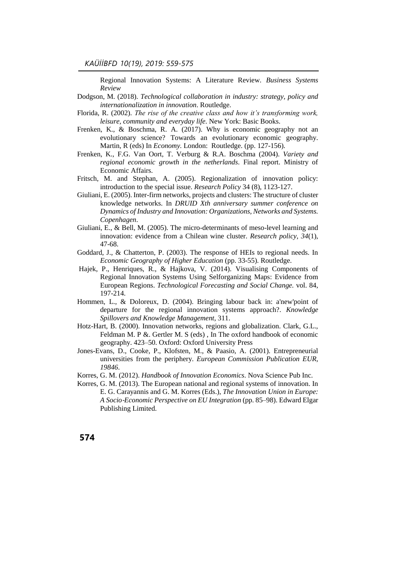Regional Innovation Systems: A Literature Review. *Business Systems Review* 

- Dodgson, M. (2018). *Technological collaboration in industry: strategy, policy and internationalization in innovation*. Routledge.
- Florida, R. (2002). *The rise of the creative class and how it's transforming work, leisure, community and everyday life*. New York: Basic Books.
- Frenken, K., & Boschma, R. A. (2017). Why is economic geography not an evolutionary science? Towards an evolutionary economic geography. Martin, R (eds) In *Economy.* London: Routledge. (pp. 127-156).
- Frenken, K., F.G. Van Oort, T. Verburg & R.A. Boschma (2004). *Variety and regional economic growth in the netherlands*. Final report. Ministry of Economic Affairs.
- Fritsch, M. and Stephan, A. (2005). Regionalization of innovation policy: introduction to the special issue. *Research Policy* 34 (8), 1123-127.
- Giuliani, E. (2005). Inter-firm networks, projects and clusters: The structure of cluster knowledge networks. In *DRUID Xth anniversary summer conference on Dynamics of Industry and Innovation: Organizations, Networks and Systems. Copenhagen*.
- Giuliani, E., & Bell, M. (2005). The micro-determinants of meso-level learning and innovation: evidence from a Chilean wine cluster. *Research policy*, *34*(1), 47-68.
- Goddard, J., & Chatterton, P. (2003). The response of HEIs to regional needs. In *Economic Geography of Higher Education* (pp. 33-55). Routledge.
- Hajek, P., Henriques, R., & Hajkova, V. (2014). Visualising Components of Regional Innovation Systems Using Selforganizing Maps: Evidence from European Regions. *Technological Forecasting and Social Change.* vol. 84, 197-214.
- Hommen, L., & Doloreux, D. (2004). Bringing labour back in: a'new'point of departure for the regional innovation systems approach?. *Knowledge Spillovers and Knowledge Management*, 311.
- Hotz-Hart, B. (2000). Innovation networks, regions and globalization. Clark, G.L., Feldman M. P &. Gertler M. S (eds) , In The oxford handbook of economic geography. 423–50. Oxford: Oxford University Press
- Jones-Evans, D., Cooke, P., Klofsten, M., & Paasio, A. (2001). Entrepreneurial universities from the periphery. *European Commission Publication EUR*, *19846*.
- Korres, G. M. (2012). *Handbook of Innovation Economics*. Nova Science Pub Inc.
- Korres, G. M. (2013). The European national and regional systems of innovation. In E. G. Carayannis and G. M. Korres (Eds.), *The Innovation Union in Europe: A Socio*‐*Economic Perspective on EU Integration* (pp. 85–98). Edward Elgar Publishing Limited.